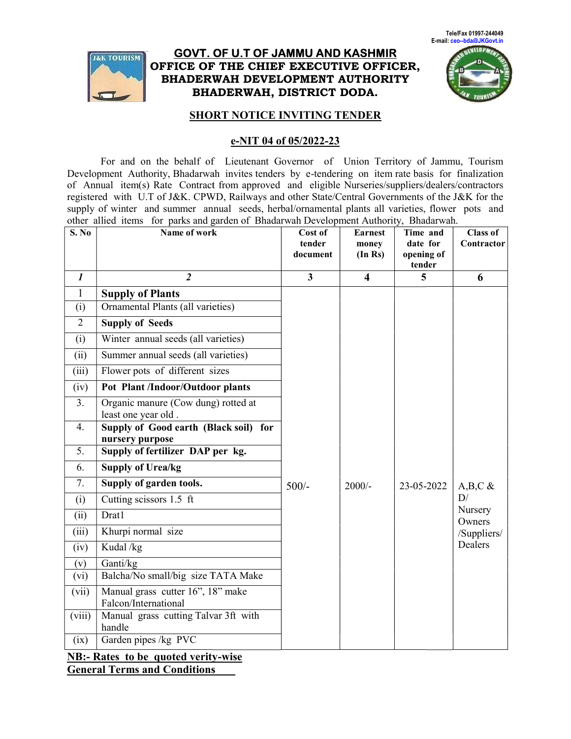

## <u>GOVT. OF U.T OF JAMMU AND KASHMIR</u> OFFICE OF THE CHIEF EXECUTIVE OFFICER, BHADERWAH DEVELOPMENT AUTHORITY BHADERWAH, DISTRICT DODA. DISTRICT DODA.



#### **SHORT NOTICE INVITING TENDER**

#### e-NIT 04 of 05/2022-23

| Tele/Fax 01997-244049<br>E-mail: ceo--bda@JKGovt.in<br><b>NEVELOP</b><br><b>GOVT. OF U.T OF JAMMU AND KASHMIR</b><br><b>JAK TOURISM</b><br>OFFICE OF THE CHIEF EXECUTIVE OFFICER,<br>BHADERWAH DEVELOPMENT AUTHORITY<br><b>BHADERWAH, DISTRICT DODA.</b><br><b>SHORT NOTICE INVITING TENDER</b><br>e-NIT 04 of 05/2022-23<br>For and on the behalf of Lieutenant Governor of Union Territory of Jammu, Tourism<br>Development Authority, Bhadarwah invites tenders by e-tendering on item rate basis for finalization<br>of Annual item(s) Rate Contract from approved and eligible Nurseries/suppliers/dealers/contractors<br>registered with U.T of J&K. CPWD, Railways and other State/Central Governments of the J&K for the<br>supply of winter and summer annual seeds, herbal/ornamental plants all varieties, flower pots and<br>other allied items for parks and garden of Bhadarwah Development Authority, Bhadarwah. |                                                                                        |                         |                         |                      |                                                   |
|---------------------------------------------------------------------------------------------------------------------------------------------------------------------------------------------------------------------------------------------------------------------------------------------------------------------------------------------------------------------------------------------------------------------------------------------------------------------------------------------------------------------------------------------------------------------------------------------------------------------------------------------------------------------------------------------------------------------------------------------------------------------------------------------------------------------------------------------------------------------------------------------------------------------------------|----------------------------------------------------------------------------------------|-------------------------|-------------------------|----------------------|---------------------------------------------------|
| S. No                                                                                                                                                                                                                                                                                                                                                                                                                                                                                                                                                                                                                                                                                                                                                                                                                                                                                                                           | Name of work                                                                           | Cost of<br>tender       | <b>Earnest</b><br>money | Time and<br>date for | <b>Class of</b><br>Contractor                     |
|                                                                                                                                                                                                                                                                                                                                                                                                                                                                                                                                                                                                                                                                                                                                                                                                                                                                                                                                 |                                                                                        | document                | (In Rs)                 | opening of<br>tender |                                                   |
| $\boldsymbol{l}$                                                                                                                                                                                                                                                                                                                                                                                                                                                                                                                                                                                                                                                                                                                                                                                                                                                                                                                | $\overline{2}$                                                                         | $\overline{\mathbf{3}}$ | $\overline{\mathbf{4}}$ | 5                    | 6                                                 |
| $\mathbf{1}$<br>(i)<br>$\overline{2}$                                                                                                                                                                                                                                                                                                                                                                                                                                                                                                                                                                                                                                                                                                                                                                                                                                                                                           | <b>Supply of Plants</b><br>Ornamental Plants (all varieties)<br><b>Supply of Seeds</b> |                         |                         |                      |                                                   |
| (i)                                                                                                                                                                                                                                                                                                                                                                                                                                                                                                                                                                                                                                                                                                                                                                                                                                                                                                                             | Winter annual seeds (all varieties)                                                    |                         |                         |                      |                                                   |
| (ii)                                                                                                                                                                                                                                                                                                                                                                                                                                                                                                                                                                                                                                                                                                                                                                                                                                                                                                                            | Summer annual seeds (all varieties)                                                    |                         |                         |                      |                                                   |
| (iii)                                                                                                                                                                                                                                                                                                                                                                                                                                                                                                                                                                                                                                                                                                                                                                                                                                                                                                                           | Flower pots of different sizes                                                         |                         |                         |                      |                                                   |
| (iv)                                                                                                                                                                                                                                                                                                                                                                                                                                                                                                                                                                                                                                                                                                                                                                                                                                                                                                                            | Pot Plant /Indoor/Outdoor plants                                                       |                         |                         |                      |                                                   |
| 3.                                                                                                                                                                                                                                                                                                                                                                                                                                                                                                                                                                                                                                                                                                                                                                                                                                                                                                                              | Organic manure (Cow dung) rotted at                                                    |                         |                         |                      |                                                   |
| 4.                                                                                                                                                                                                                                                                                                                                                                                                                                                                                                                                                                                                                                                                                                                                                                                                                                                                                                                              | least one year old.<br>Supply of Good earth (Black soil) for<br>nursery purpose        |                         |                         |                      |                                                   |
| 5.                                                                                                                                                                                                                                                                                                                                                                                                                                                                                                                                                                                                                                                                                                                                                                                                                                                                                                                              | Supply of fertilizer DAP per kg.                                                       |                         |                         |                      |                                                   |
| 6.                                                                                                                                                                                                                                                                                                                                                                                                                                                                                                                                                                                                                                                                                                                                                                                                                                                                                                                              | <b>Supply of Urea/kg</b>                                                               |                         |                         |                      |                                                   |
| 7.                                                                                                                                                                                                                                                                                                                                                                                                                                                                                                                                                                                                                                                                                                                                                                                                                                                                                                                              | Supply of garden tools.                                                                | $500/-$                 | $2000/-$                | 23-05-2022           | A, B, C $\&$                                      |
| (i)                                                                                                                                                                                                                                                                                                                                                                                                                                                                                                                                                                                                                                                                                                                                                                                                                                                                                                                             | Cutting scissors 1.5 ft                                                                |                         |                         |                      | D/<br>Nursery<br>Owners<br>/Suppliers/<br>Dealers |
| (ii)                                                                                                                                                                                                                                                                                                                                                                                                                                                                                                                                                                                                                                                                                                                                                                                                                                                                                                                            | Drat1                                                                                  |                         |                         |                      |                                                   |
| (iii)                                                                                                                                                                                                                                                                                                                                                                                                                                                                                                                                                                                                                                                                                                                                                                                                                                                                                                                           | Khurpi normal size                                                                     |                         |                         |                      |                                                   |
| (iv)                                                                                                                                                                                                                                                                                                                                                                                                                                                                                                                                                                                                                                                                                                                                                                                                                                                                                                                            | Kudal /kg                                                                              |                         |                         |                      |                                                   |
| (v)<br>(vi)                                                                                                                                                                                                                                                                                                                                                                                                                                                                                                                                                                                                                                                                                                                                                                                                                                                                                                                     | Ganti/kg<br>Balcha/No small/big size TATA Make                                         |                         |                         |                      |                                                   |
| (vii)                                                                                                                                                                                                                                                                                                                                                                                                                                                                                                                                                                                                                                                                                                                                                                                                                                                                                                                           | Manual grass cutter 16", 18" make<br>Falcon/International                              |                         |                         |                      |                                                   |
| (viii)                                                                                                                                                                                                                                                                                                                                                                                                                                                                                                                                                                                                                                                                                                                                                                                                                                                                                                                          | Manual grass cutting Talvar 3ft with<br>handle                                         |                         |                         |                      |                                                   |
| (ix)                                                                                                                                                                                                                                                                                                                                                                                                                                                                                                                                                                                                                                                                                                                                                                                                                                                                                                                            | Garden pipes /kg PVC                                                                   |                         |                         |                      |                                                   |
| <b>NB:- Rates to be quoted verity-wise</b><br><b>General Terms and Conditions</b>                                                                                                                                                                                                                                                                                                                                                                                                                                                                                                                                                                                                                                                                                                                                                                                                                                               |                                                                                        |                         |                         |                      |                                                   |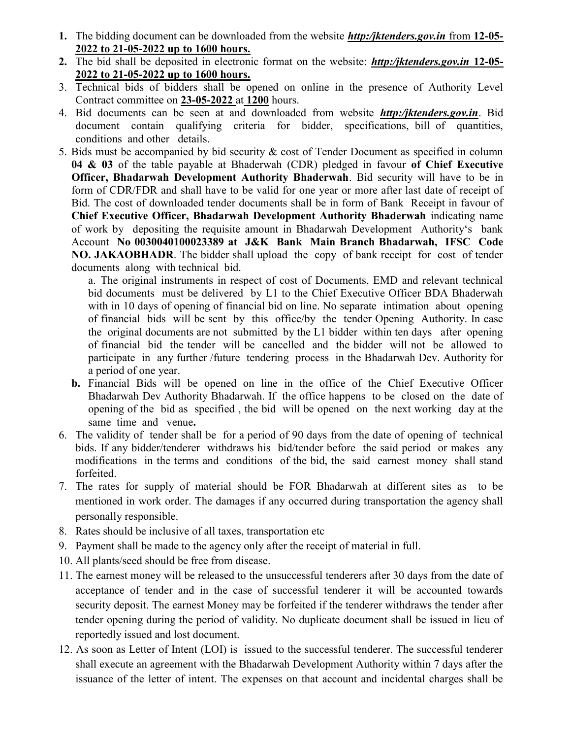- 1. The bidding document can be downloaded from the website *http:/jktenders.gov.in* from 12-05-2022 to 21-05-2022 up to 1600 hours.
- 2. The bid shall be deposited in electronic format on the website: **http:/jktenders.gov.in 12-05-**2022 to 21-05-2022 up to 1600 hours.
- 3. Technical bids of bidders shall be opened on online in the presence of Authority Level Contract committee on 23-05-2022 at 1200 hours.
- 4. Bid documents can be seen at and downloaded from website http:/jktenders.gov.in. Bid document contain qualifying criteria for bidder, specifications, bill of quantities, conditions and other details.
- 5. Bids must be accompanied by bid security & cost of Tender Document as specified in column 04 & 03 of the table payable at Bhaderwah (CDR) pledged in favour of Chief Executive Officer, Bhadarwah Development Authority Bhaderwah. Bid security will have to be in form of CDR/FDR and shall have to be valid for one year or more after last date of receipt of Bid. The cost of downloaded tender documents shall be in form of Bank Receipt in favour of Chief Executive Officer, Bhadarwah Development Authority Bhaderwah indicating name of work by depositing the requisite amount in Bhadarwah Development Authority's bank Account No 0030040100023389 at J&K Bank Main Branch Bhadarwah, IFSC Code NO. JAKAOBHADR. The bidder shall upload the copy of bank receipt for cost of tender documents along with technical bid.

a. The original instruments in respect of cost of Documents, EMD and relevant technical bid documents must be delivered by L1 to the Chief Executive Officer BDA Bhaderwah with in 10 days of opening of financial bid on line. No separate intimation about opening of financial bids will be sent by this office/by the tender Opening Authority. In case the original documents are not submitted by the L1 bidder within ten days after opening of financial bid the tender will be cancelled and the bidder will not be allowed to participate in any further /future tendering process in the Bhadarwah Dev. Authority for a period of one year.

- b. Financial Bids will be opened on line in the office of the Chief Executive Officer Bhadarwah Dev Authority Bhadarwah. If the office happens to be closed on the date of opening of the bid as specified , the bid will be opened on the next working day at the same time and venue.
- 6. The validity of tender shall be for a period of 90 days from the date of opening of technical bids. If any bidder/tenderer withdraws his bid/tender before the said period or makes any modifications in the terms and conditions of the bid, the said earnest money shall stand forfeited.
- 7. The rates for supply of material should be FOR Bhadarwah at different sites as to be mentioned in work order. The damages if any occurred during transportation the agency shall personally responsible.
- 8. Rates should be inclusive of all taxes, transportation etc
- 9. Payment shall be made to the agency only after the receipt of material in full.
- 10. All plants/seed should be free from disease.
- 11. The earnest money will be released to the unsuccessful tenderers after 30 days from the date of acceptance of tender and in the case of successful tenderer it will be accounted towards security deposit. The earnest Money may be forfeited if the tenderer withdraws the tender after tender opening during the period of validity. No duplicate document shall be issued in lieu of reportedly issued and lost document.
- 12. As soon as Letter of Intent (LOI) is issued to the successful tenderer. The successful tenderer shall execute an agreement with the Bhadarwah Development Authority within 7 days after the issuance of the letter of intent. The expenses on that account and incidental charges shall be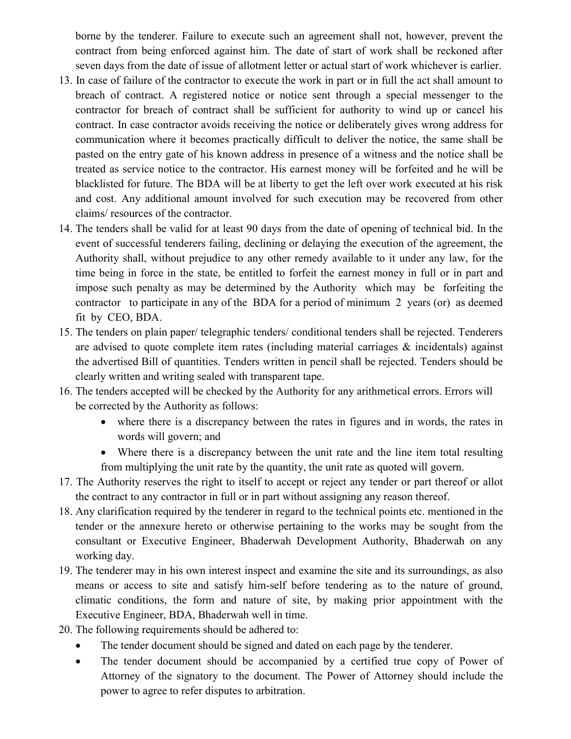borne by the tenderer. Failure to execute such an agreement shall not, however, prevent the contract from being enforced against him. The date of start of work shall be reckoned after seven days from the date of issue of allotment letter or actual start of work whichever is earlier.

- 13. In case of failure of the contractor to execute the work in part or in full the act shall amount to breach of contract. A registered notice or notice sent through a special messenger to the contractor for breach of contract shall be sufficient for authority to wind up or cancel his contract. In case contractor avoids receiving the notice or deliberately gives wrong address for communication where it becomes practically difficult to deliver the notice, the same shall be pasted on the entry gate of his known address in presence of a witness and the notice shall be treated as service notice to the contractor. His earnest money will be forfeited and he will be blacklisted for future. The BDA will be at liberty to get the left over work executed at his risk and cost. Any additional amount involved for such execution may be recovered from other claims/ resources of the contractor.
- 14. The tenders shall be valid for at least 90 days from the date of opening of technical bid. In the event of successful tenderers failing, declining or delaying the execution of the agreement, the Authority shall, without prejudice to any other remedy available to it under any law, for the time being in force in the state, be entitled to forfeit the earnest money in full or in part and impose such penalty as may be determined by the Authority which may be forfeiting the contractor to participate in any of the BDA for a period of minimum 2 years (or) as deemed fit by CEO, BDA.
- 15. The tenders on plain paper/ telegraphic tenders/ conditional tenders shall be rejected. Tenderers are advised to quote complete item rates (including material carriages  $\&$  incidentals) against the advertised Bill of quantities. Tenders written in pencil shall be rejected. Tenders should be clearly written and writing sealed with transparent tape.
- 16. The tenders accepted will be checked by the Authority for any arithmetical errors. Errors will be corrected by the Authority as follows:
	- where there is a discrepancy between the rates in figures and in words, the rates in words will govern; and
	- Where there is a discrepancy between the unit rate and the line item total resulting from multiplying the unit rate by the quantity, the unit rate as quoted will govern.
- 17. The Authority reserves the right to itself to accept or reject any tender or part thereof or allot the contract to any contractor in full or in part without assigning any reason thereof.
- 18. Any clarification required by the tenderer in regard to the technical points etc. mentioned in the tender or the annexure hereto or otherwise pertaining to the works may be sought from the consultant or Executive Engineer, Bhaderwah Development Authority, Bhaderwah on any working day.
- 19. The tenderer may in his own interest inspect and examine the site and its surroundings, as also means or access to site and satisfy him-self before tendering as to the nature of ground, climatic conditions, the form and nature of site, by making prior appointment with the Executive Engineer, BDA, Bhaderwah well in time.
- 20. The following requirements should be adhered to:
	- The tender document should be signed and dated on each page by the tenderer.
	- The tender document should be accompanied by a certified true copy of Power of Attorney of the signatory to the document. The Power of Attorney should include the power to agree to refer disputes to arbitration.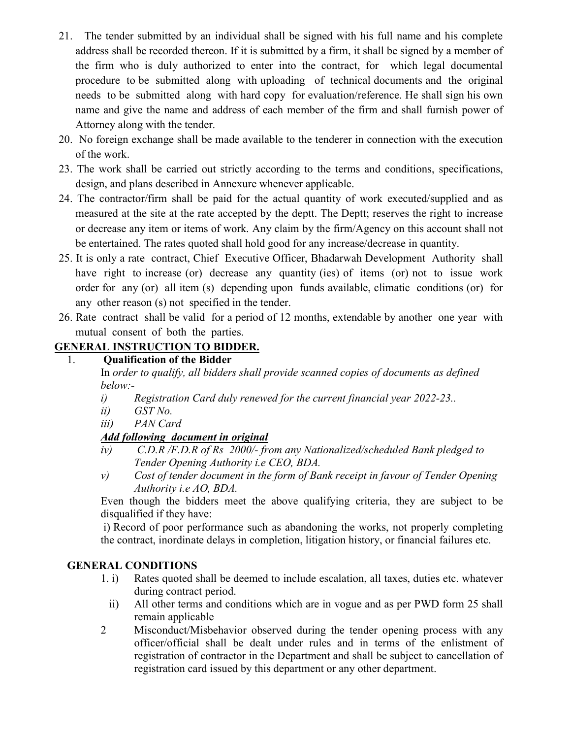- 21. The tender submitted by an individual shall be signed with his full name and his complete address shall be recorded thereon. If it is submitted by a firm, it shall be signed by a member of the firm who is duly authorized to enter into the contract, for which legal documental procedure to be submitted along with uploading of technical documents and the original needs to be submitted along with hard copy for evaluation/reference. He shall sign his own name and give the name and address of each member of the firm and shall furnish power of Attorney along with the tender.
- 20. No foreign exchange shall be made available to the tenderer in connection with the execution of the work.
- 23. The work shall be carried out strictly according to the terms and conditions, specifications, design, and plans described in Annexure whenever applicable.
- 24. The contractor/firm shall be paid for the actual quantity of work executed/supplied and as measured at the site at the rate accepted by the deptt. The Deptt; reserves the right to increase or decrease any item or items of work. Any claim by the firm/Agency on this account shall not be entertained. The rates quoted shall hold good for any increase/decrease in quantity.
- 25. It is only a rate contract, Chief Executive Officer, Bhadarwah Development Authority shall have right to increase (or) decrease any quantity (ies) of items (or) not to issue work order for any (or) all item (s) depending upon funds available, climatic conditions (or) for any other reason (s) not specified in the tender.
- 26. Rate contract shall be valid for a period of 12 months, extendable by another one year with mutual consent of both the parties.

# GENERAL INSTRUCTION TO BIDDER.

## 1. Qualification of the Bidder

 In order to qualify, all bidders shall provide scanned copies of documents as defined below:-

- i) Registration Card duly renewed for the current financial year 2022-23..
- ii) GST No.
- iii) PAN Card

# Add following document in original

- iv) C.D.R /F.D.R of Rs 2000/- from any Nationalized/scheduled Bank pledged to Tender Opening Authority i.e CEO, BDA.
- v) Cost of tender document in the form of Bank receipt in favour of Tender Opening Authority i.e AO, BDA.

 Even though the bidders meet the above qualifying criteria, they are subject to be disqualified if they have:

 i) Record of poor performance such as abandoning the works, not properly completing the contract, inordinate delays in completion, litigation history, or financial failures etc.

# GENERAL CONDITIONS

- 1. i) Rates quoted shall be deemed to include escalation, all taxes, duties etc. whatever during contract period.
	- ii) All other terms and conditions which are in vogue and as per PWD form 25 shall remain applicable
- 2 Misconduct/Misbehavior observed during the tender opening process with any officer/official shall be dealt under rules and in terms of the enlistment of registration of contractor in the Department and shall be subject to cancellation of registration card issued by this department or any other department.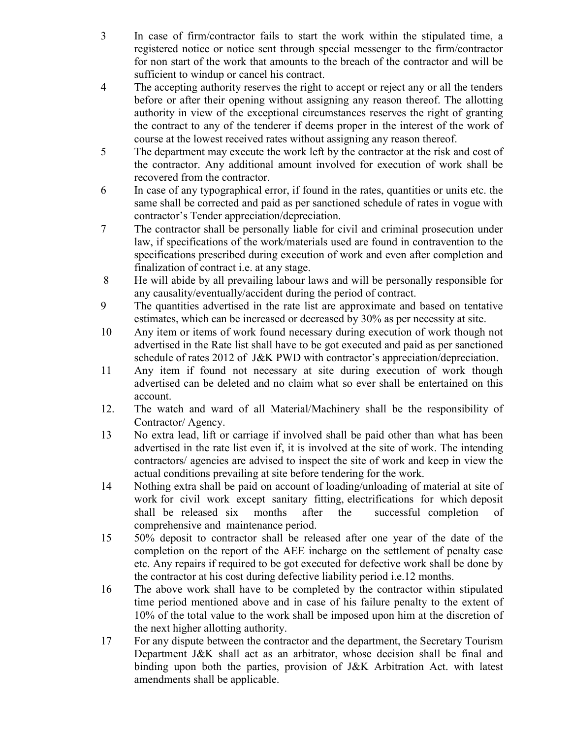- 3 In case of firm/contractor fails to start the work within the stipulated time, a registered notice or notice sent through special messenger to the firm/contractor for non start of the work that amounts to the breach of the contractor and will be sufficient to windup or cancel his contract.
- 4 The accepting authority reserves the right to accept or reject any or all the tenders before or after their opening without assigning any reason thereof. The allotting authority in view of the exceptional circumstances reserves the right of granting the contract to any of the tenderer if deems proper in the interest of the work of course at the lowest received rates without assigning any reason thereof.
- 5 The department may execute the work left by the contractor at the risk and cost of the contractor. Any additional amount involved for execution of work shall be recovered from the contractor.
- 6 In case of any typographical error, if found in the rates, quantities or units etc. the same shall be corrected and paid as per sanctioned schedule of rates in vogue with contractor's Tender appreciation/depreciation.
- 7 The contractor shall be personally liable for civil and criminal prosecution under law, if specifications of the work/materials used are found in contravention to the specifications prescribed during execution of work and even after completion and finalization of contract i.e. at any stage.
- 8 He will abide by all prevailing labour laws and will be personally responsible for any causality/eventually/accident during the period of contract.
- 9 The quantities advertised in the rate list are approximate and based on tentative estimates, which can be increased or decreased by 30% as per necessity at site.
- 10 Any item or items of work found necessary during execution of work though not advertised in the Rate list shall have to be got executed and paid as per sanctioned schedule of rates 2012 of J&K PWD with contractor's appreciation/depreciation.
- 11 Any item if found not necessary at site during execution of work though advertised can be deleted and no claim what so ever shall be entertained on this account.
- 12. The watch and ward of all Material/Machinery shall be the responsibility of Contractor/ Agency.
- 13 No extra lead, lift or carriage if involved shall be paid other than what has been advertised in the rate list even if, it is involved at the site of work. The intending contractors/ agencies are advised to inspect the site of work and keep in view the actual conditions prevailing at site before tendering for the work.
- 14 Nothing extra shall be paid on account of loading/unloading of material at site of work for civil work except sanitary fitting, electrifications for which deposit shall be released six months after the successful completion of comprehensive and maintenance period.
- 15 50% deposit to contractor shall be released after one year of the date of the completion on the report of the AEE incharge on the settlement of penalty case etc. Any repairs if required to be got executed for defective work shall be done by the contractor at his cost during defective liability period i.e.12 months.
- 16 The above work shall have to be completed by the contractor within stipulated time period mentioned above and in case of his failure penalty to the extent of 10% of the total value to the work shall be imposed upon him at the discretion of the next higher allotting authority.
- 17 For any dispute between the contractor and the department, the Secretary Tourism Department J&K shall act as an arbitrator, whose decision shall be final and binding upon both the parties, provision of J&K Arbitration Act. with latest amendments shall be applicable.